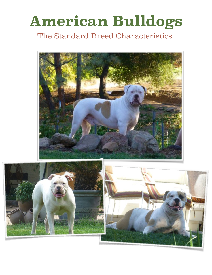# **American Bulldogs**

### The Standard Breed Characteristics.



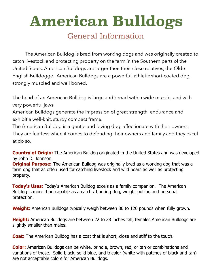## **American Bulldogs**

#### General Information

The American Bulldog is bred from working dogs and was originally created to catch livestock and protecting property on the farm in the Southern parts of the United States. American Bulldogs are larger then their close relatives, the Olde English Bulldogge. American Bulldogs are a powerful, athletic short-coated dog, strongly muscled and well boned.

The head of an American Bulldog is large and broad with a wide muzzle, and with very powerful jaws.

American Bulldogs generate the impression of great strength, endurance and exhibit a well-knit, sturdy compact frame.

The American Bulldog is a gentle and loving dog, affectionate with their owners. They are fearless when it comes to defending their owners and family and they excel at do so.

**Country of Origin:** The American Bulldog originated in the United States and was developed by John D. Johnson.

**Original Purpose:** The American Bulldog was originally bred as a working dog that was a farm dog that as often used for catching livestock and wild boars as well as protecting property.

**Today's Uses:** Today's American Bulldog excels as a family companion. The American Bulldog is more than capable as a catch / hunting dog, weight pulling and personal protection.

**Weight:** American Bulldogs typically weigh between 80 to 120 pounds when fully grown.

**Height:** American Bulldogs are between 22 to 28 inches tall, females American Bulldogs are slightly smaller than males.

**Coat:** The American Bulldog has a coat that is short, close and stiff to the touch.

**Color:** American Bulldogs can be white, brindle, brown, red, or tan or combinations and variations of these. Solid black, solid blue, and tricolor (white with patches of black and tan) are not acceptable colors for American Bulldogs.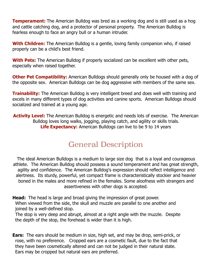**Temperament:** The American Bulldog was bred as a working dog and is still used as a hog and cattle catching dog, and a protector of personal property. The American Bulldog is fearless enough to face an angry bull or a human intruder.

**With Children:** The American Bulldog is a gentle, loving family companion who, if raised properly can be a child's best friend.

**With Pets:** The American Bulldog if properly socialized can be excellent with other pets, especially when raised together.

**Other Pet Compatibility:** American Bulldogs should generally only be housed with a dog of the opposite sex. American Bulldogs can be dog aggressive with members of the same sex.

**Trainability:** The American Bulldog is very intelligent breed and does well with training and excels in many different types of dog activities and canine sports. American Bulldogs should socialized and trained at a young age.

**Activity Level:** The American Bulldog is energetic and needs lots of exercise. The American Bulldog loves long walks, jogging, playing catch, and agility or skills trials. **Life Expectancy:** American Bulldogs can live to be 9 to 14 years

#### General Description

The ideal American Bulldogs is a medium to large size dog that is a loyal and courageous athlete. The American Bulldog should possess a sound temperament and has great strength, agility and confidence. The American Bulldog's expression should reflect intelligence and alertness. Its sturdy, powerful, yet compact frame is characteristically stockier and heavier boned in the males and more refined in the females. Some aloofness with strangers and assertiveness with other dogs is accepted.

**Head:** The head is large and broad giving the impression of great power. When viewed from the side, the skull and muzzle are parallel to one another and joined by a well-defined stop.

The stop is very deep and abrupt, almost at a right angle with the muzzle. Despite the depth of the stop, the forehead is wider than it is high.

**Ears:** The ears should be medium in size, high set, and may be drop, semi-prick, or rose, with no preference. Cropped ears are a cosmetic fault, due to the fact that they have been cosmetically altered and can not be judged in their natural state. Ears may be cropped but natural ears are preferred.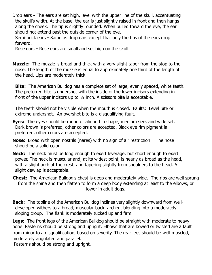Drop ears **-** The ears are set high, level with the upper line of the skull, accentuating the skull's width. At the base, the ear is just slightly raised in front and then hangs along the cheek. The tip is slightly rounded. When pulled toward the eye, the ear should not extend past the outside corner of the eye.

Semi-prick ears **-** Same as drop ears except that only the tips of the ears drop forward.

Rose ears **-** Rose ears are small and set high on the skull.

**Muzzle:** The muzzle is broad and thick with a very slight taper from the stop to the nose. The length of the muzzle is equal to approximately one third of the length of the head. Lips are moderately thick.

**Bite:** The American Bulldog has a complete set of large, evenly spaced, white teeth. The preferred bite is undershot with the inside of the lower incisors extending in front of the upper incisors up to ¼ inch. A scissors bite is acceptable.

The teeth should not be visible when the mouth is closed. Faults: Level bite or extreme undershot. An overshot bite is a disqualifying fault.

- **Eyes:** The eyes should be round or almond in shape, medium size, and wide set. Dark brown is preferred, other colors are accepted. Black eye rim pigment is preferred, other colors are accepted.
- **Nose:** Broad with open nostrils (nares) with no sign of air restriction. The nose should be a solid color.
- **Neck:** The neck must be long enough to exert leverage, but short enough to exert power. The neck is muscular and, at its widest point, is nearly as broad as the head, with a slight arch at the crest, and tapering slightly from shoulders to the head. A slight dewlap is acceptable.
- **Chest:** The American Bulldog's chest is deep and moderately wide. The ribs are well sprung from the spine and then flatten to form a deep body extending at least to the elbows, or lower in adult dogs.
- **Back:** The topline of the American Bulldog inclines very slightly downward from welldeveloped withers to a broad, muscular back. arched, blending into a moderately sloping croup. The flank is moderately tucked up and firm.

**Legs:** The front legs of the American Bulldog should be straight with moderate to heavy bone. Pasterns should be strong and upright. Elbows that are bowed or twisted are a fault from minor to a disqualification, based on severity. The rear legs should be well muscled, moderately angulated and parallel.

Pasterns should be strong and upright.